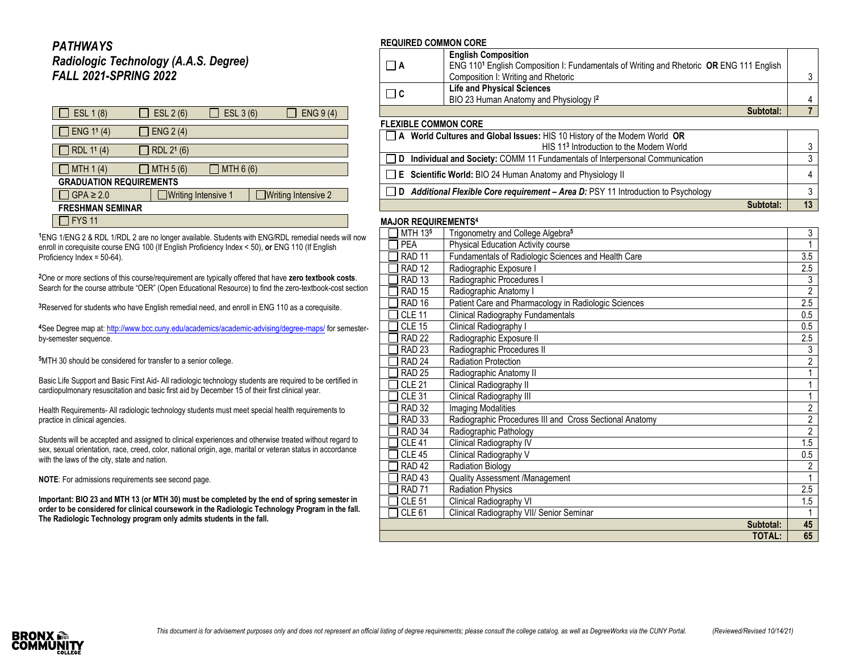### *PATHWAYS Radiologic Technology (A.A.S. Degree) FALL 2021-SPRING 2022*

| ESL 1 (8)                      | ESL 2 (6)           | ESL 3 (6)     | ENG 9(4)                   |  |  |
|--------------------------------|---------------------|---------------|----------------------------|--|--|
| ENG 11(4)                      | <b>ENG 2 (4)</b>    |               |                            |  |  |
| RDL 11 (4)                     | RDL 21 (6)          |               |                            |  |  |
| MTH $1(4)$                     | MTH 5 (6)           | $J$ MTH 6 (6) |                            |  |  |
| <b>GRADUATION REQUIREMENTS</b> |                     |               |                            |  |  |
| $] GPA \geq 2.0$               | Writing Intensive 1 |               | $\Box$ Writing Intensive 2 |  |  |
| <b>FRESHMAN SEMINAR</b>        |                     |               |                            |  |  |
| <b>FYS 11</b>                  |                     |               |                            |  |  |

**<sup>1</sup>**ENG 1/ENG 2 & RDL 1/RDL 2 are no longer available. Students with ENG/RDL remedial needs will now enroll in corequisite course ENG 100 (If English Proficiency Index < 50), **or** ENG 110 (If English Proficiency Index = 50-64).

**<sup>2</sup>**One or more sections of this course/requirement are typically offered that have **zero textbook costs**. Search for the course attribute "OER" (Open Educational Resource) to find the zero-textbook-cost section

**<sup>3</sup>**Reserved for students who have English remedial need, and enroll in ENG 110 as a corequisite.

**<sup>4</sup>**See Degree map at[: http://www.bcc.cuny.edu/academics/academic-advising/degree-maps/](http://www.bcc.cuny.edu/academics/academic-advising/degree-maps/) for semesterby-semester sequence.

**<sup>5</sup>**MTH 30 should be considered for transfer to a senior college.

Basic Life Support and Basic First Aid- All radiologic technology students are required to be certified in cardiopulmonary resuscitation and basic first aid by December 15 of their first clinical year.

Health Requirements- All radiologic technology students must meet special health requirements to practice in clinical agencies.

Students will be accepted and assigned to clinical experiences and otherwise treated without regard to sex, sexual orientation, race, creed, color, national origin, age, marital or veteran status in accordance with the laws of the city, state and nation.

**NOTE**: For admissions requirements see second page.

**Important: BIO 23 and MTH 13 (or MTH 30) must be completed by the end of spring semester in order to be considered for clinical coursework in the Radiologic Technology Program in the fall. The Radiologic Technology program only admits students in the fall.**

#### **REQUIRED COMMON CORE**

| I IA     | <b>English Composition</b><br>ENG 110 <sup>1</sup> English Composition I: Fundamentals of Writing and Rhetoric OR ENG 111 English |  |
|----------|-----------------------------------------------------------------------------------------------------------------------------------|--|
|          | Composition I: Writing and Rhetoric                                                                                               |  |
| $\Box$ C | <b>Life and Physical Sciences</b>                                                                                                 |  |
|          | BIO 23 Human Anatomy and Physiology I <sup>2</sup>                                                                                |  |
|          | Subtotal:                                                                                                                         |  |
|          |                                                                                                                                   |  |

#### **FLEXIBLE COMMON CORE**

| □ A World Cultures and Global Issues: HIS 10 History of the Modern World OR              |    |
|------------------------------------------------------------------------------------------|----|
| HIS 113 Introduction to the Modern World                                                 | ર  |
| □ D Individual and Society: COMM 11 Fundamentals of Interpersonal Communication          | ્ર |
| $\Box$ <b>E</b> Scientific World: BIO 24 Human Anatomy and Physiology II                 | 4  |
| Additional Flexible Core requirement - Area D: PSY 11 Introduction to Psychology<br>II D |    |
| Subtotal:                                                                                | 13 |

#### **MAJOR REQUIREMENTS<sup>4</sup>**

| MTH 135           | Trigonometry and College Algebra <sup>5</sup>           | 3              |
|-------------------|---------------------------------------------------------|----------------|
| <b>PEA</b>        | Physical Education Activity course                      |                |
| <b>RAD 11</b>     | Fundamentals of Radiologic Sciences and Health Care     | 3.5            |
| <b>RAD 12</b>     | Radiographic Exposure I                                 | 2.5            |
| <b>RAD 13</b>     | Radiographic Procedures I                               | 3              |
| <b>RAD 15</b>     | Radiographic Anatomy I                                  | $\overline{2}$ |
| RAD <sub>16</sub> | Patient Care and Pharmacology in Radiologic Sciences    | 2.5            |
| <b>CLE 11</b>     | <b>Clinical Radiography Fundamentals</b>                | 0.5            |
| <b>CLE 15</b>     | Clinical Radiography I                                  | 0.5            |
| <b>RAD 22</b>     | Radiographic Exposure II                                | 2.5            |
| <b>RAD 23</b>     | Radiographic Procedures II                              | 3              |
| RAD <sub>24</sub> | Radiation Protection                                    | $\overline{2}$ |
| <b>RAD 25</b>     | Radiographic Anatomy II                                 | $\mathbf{1}$   |
| <b>CLE 21</b>     | Clinical Radiography II                                 | 1              |
| CLE <sub>31</sub> | Clinical Radiography III                                | 1              |
| <b>RAD 32</b>     | <b>Imaging Modalities</b>                               | $\overline{2}$ |
| RAD <sub>33</sub> | Radiographic Procedures III and Cross Sectional Anatomy | $\overline{2}$ |
| RAD <sub>34</sub> | Radiographic Pathology                                  | $\overline{2}$ |
| CLE <sub>41</sub> | Clinical Radiography IV                                 | 1.5            |
| <b>CLE 45</b>     | Clinical Radiography V                                  | 0.5            |
| RAD <sub>42</sub> | Radiation Biology                                       | 2              |
| RAD <sub>43</sub> | Quality Assessment /Management                          | 1              |
| <b>RAD 71</b>     | Radiation Physics                                       | 2.5            |
| <b>CLE 51</b>     | Clinical Radiography VI                                 | 1.5            |
| CLE <sub>61</sub> | Clinical Radiography VII/ Senior Seminar                |                |
|                   | Subtotal:                                               | 45             |
|                   | TOTAL:                                                  | 65             |